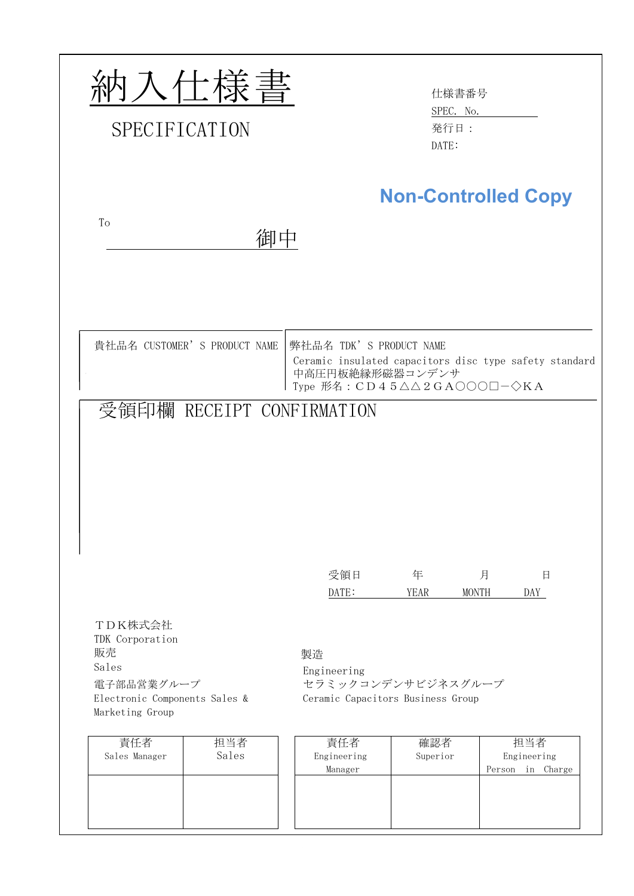| 内入仕様書<br>SPECIFICATION                                                                                      | 仕様書番号<br>SPEC. No.<br>発行日:<br>DATE:                                                                                                                                     |
|-------------------------------------------------------------------------------------------------------------|-------------------------------------------------------------------------------------------------------------------------------------------------------------------------|
| To<br>御中                                                                                                    | <b>Non-Controlled Copy</b>                                                                                                                                              |
| 貴社品名 CUSTOMER' S PRODUCT NAME<br>受領印欄 RECEIPT CONFIRMATION                                                  | 弊社品名 TDK' S PRODUCT NAME<br>Ceramic insulated capacitors disc type safety standard<br>中高圧円板絶縁形磁器コンデンサ<br>Type 形名: $CD45\triangle\triangle 2GA000\Box - \diamondsuit KA$ |
|                                                                                                             |                                                                                                                                                                         |
|                                                                                                             | 受領日<br>年<br>月<br>日<br>DATE:<br><b>YEAR</b><br><b>MONTH</b><br>DAY                                                                                                       |
| TDK株式会社<br>TDK Corporation<br>販売<br>Sales<br>電子部品営業グループ<br>Electronic Components Sales &<br>Marketing Group | 製造<br>Engineering<br>セラミックコンデンサビジネスグループ<br>Ceramic Capacitors Business Group                                                                                            |
| 責任者<br>担当者<br>Sales<br>Sales Manager                                                                        | 確認者<br>担当者<br>責任者<br>Engineering<br>Superior<br>Engineering<br>Manager<br>Person in Charge                                                                              |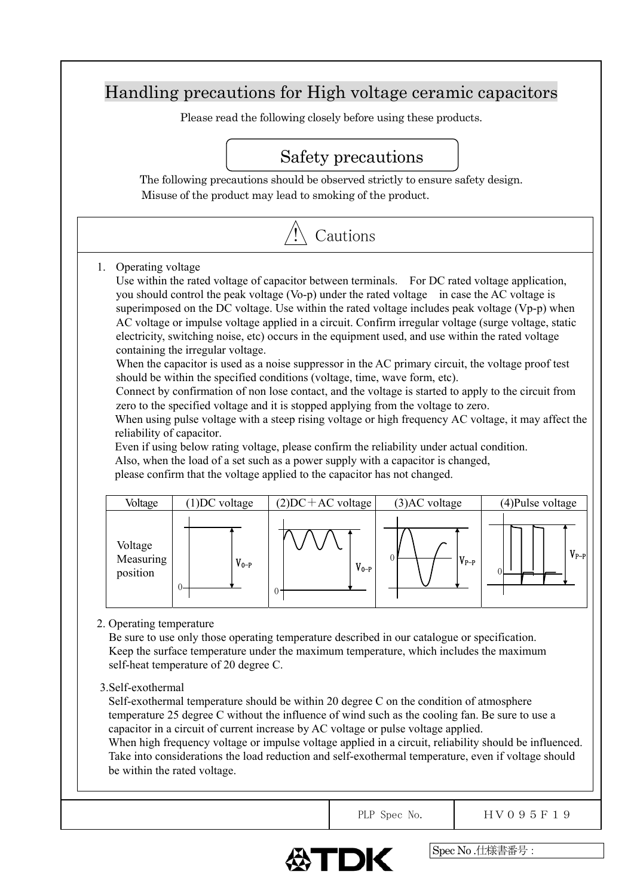# Handling precautions for High voltage ceramic capacitors

Please read the following closely before using these products.

# Safety precautions

The following precautions should be observed strictly to ensure safety design. Misuse of the product may lead to smoking of the product.



1. Operating voltage

Use within the rated voltage of capacitor between terminals. For DC rated voltage application, you should control the peak voltage (Vo-p) under the rated voltage in case the AC voltage is superimposed on the DC voltage. Use within the rated voltage includes peak voltage (Vp-p) when AC voltage or impulse voltage applied in a circuit. Confirm irregular voltage (surge voltage, static electricity, switching noise, etc) occurs in the equipment used, and use within the rated voltage containing the irregular voltage.

When the capacitor is used as a noise suppressor in the AC primary circuit, the voltage proof test should be within the specified conditions (voltage, time, wave form, etc).

Connect by confirmation of non lose contact, and the voltage is started to apply to the circuit from zero to the specified voltage and it is stopped applying from the voltage to zero.

When using pulse voltage with a steep rising voltage or high frequency AC voltage, it may affect the reliability of capacitor.

Even if using below rating voltage, please confirm the reliability under actual condition. Also, when the load of a set such as a power supply with a capacitor is changed, please confirm that the voltage applied to the capacitor has not changed.

| Voltage                          | $(1)$ DC voltage | $(2)DC+AC$ voltage | (3)AC voltage | (4) Pulse voltage |
|----------------------------------|------------------|--------------------|---------------|-------------------|
| Voltage<br>Measuring<br>position | $V_{0-P}$        | $V_{0-P}$<br>v     | $V_{P-P}$     | $V_{P-P}$<br>٦    |

# 2. Operating temperature

Be sure to use only those operating temperature described in our catalogue or specification. Keep the surface temperature under the maximum temperature, which includes the maximum self-heat temperature of 20 degree C.

3.Self-exothermal

Self-exothermal temperature should be within 20 degree C on the condition of atmosphere temperature 25 degree C without the influence of wind such as the cooling fan. Be sure to use a capacitor in a circuit of current increase by AC voltage or pulse voltage applied.

When high frequency voltage or impulse voltage applied in a circuit, reliability should be influenced. Take into considerations the load reduction and self-exothermal temperature, even if voltage should be within the rated voltage.



PLP Spec No.  $\vert$  HV095F19

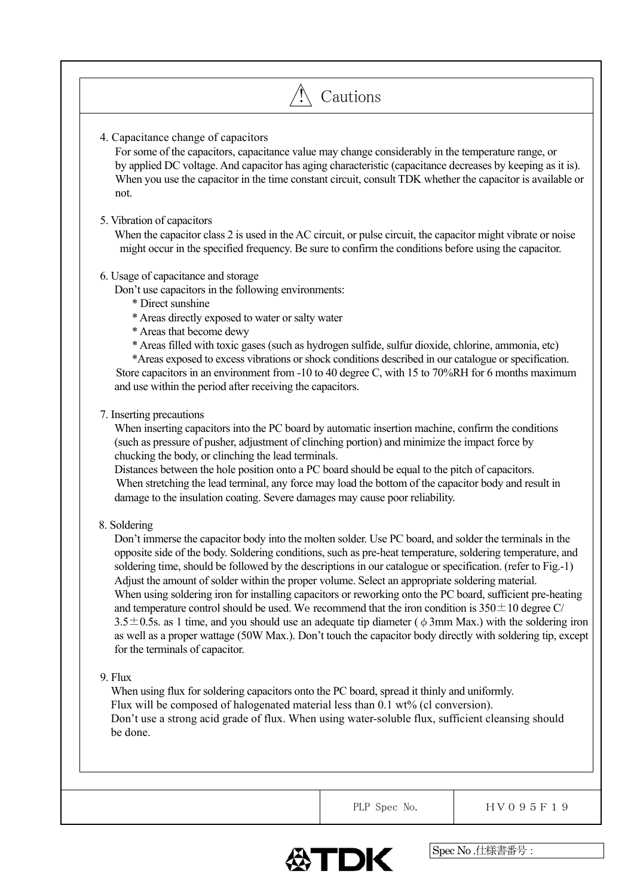| 4. Capacitance change of capacitors<br>For some of the capacitors, capacitance value may change considerably in the temperature range, or<br>by applied DC voltage. And capacitor has aging characteristic (capacitance decreases by keeping as it is). |  |                                                                                                            |  |  |  |
|---------------------------------------------------------------------------------------------------------------------------------------------------------------------------------------------------------------------------------------------------------|--|------------------------------------------------------------------------------------------------------------|--|--|--|
| When you use the capacitor in the time constant circuit, consult TDK whether the capacitor is available or<br>not.                                                                                                                                      |  |                                                                                                            |  |  |  |
| 5. Vibration of capacitors                                                                                                                                                                                                                              |  |                                                                                                            |  |  |  |
| When the capacitor class 2 is used in the AC circuit, or pulse circuit, the capacitor might vibrate or noise<br>might occur in the specified frequency. Be sure to confirm the conditions before using the capacitor.                                   |  |                                                                                                            |  |  |  |
| 6. Usage of capacitance and storage                                                                                                                                                                                                                     |  |                                                                                                            |  |  |  |
| Don't use capacitors in the following environments:<br>* Direct sunshine                                                                                                                                                                                |  |                                                                                                            |  |  |  |
| * Areas directly exposed to water or salty water                                                                                                                                                                                                        |  |                                                                                                            |  |  |  |
| * Areas that become dewy                                                                                                                                                                                                                                |  |                                                                                                            |  |  |  |
| * Areas filled with toxic gases (such as hydrogen sulfide, sulfur dioxide, chlorine, ammonia, etc)<br>*Areas exposed to excess vibrations or shock conditions described in our catalogue or specification.                                              |  |                                                                                                            |  |  |  |
| Store capacitors in an environment from -10 to 40 degree C, with 15 to $70\%RH$ for 6 months maximum                                                                                                                                                    |  |                                                                                                            |  |  |  |
| and use within the period after receiving the capacitors.                                                                                                                                                                                               |  |                                                                                                            |  |  |  |
| 7. Inserting precautions                                                                                                                                                                                                                                |  |                                                                                                            |  |  |  |
| When inserting capacitors into the PC board by automatic insertion machine, confirm the conditions                                                                                                                                                      |  |                                                                                                            |  |  |  |
| (such as pressure of pusher, adjustment of clinching portion) and minimize the impact force by                                                                                                                                                          |  |                                                                                                            |  |  |  |
| chucking the body, or clinching the lead terminals.                                                                                                                                                                                                     |  |                                                                                                            |  |  |  |
| Distances between the hole position onto a PC board should be equal to the pitch of capacitors.<br>When stretching the lead terminal, any force may load the bottom of the capacitor body and result in                                                 |  |                                                                                                            |  |  |  |
| damage to the insulation coating. Severe damages may cause poor reliability.                                                                                                                                                                            |  |                                                                                                            |  |  |  |
| 8. Soldering                                                                                                                                                                                                                                            |  |                                                                                                            |  |  |  |
| Don't immerse the capacitor body into the molten solder. Use PC board, and solder the terminals in the                                                                                                                                                  |  |                                                                                                            |  |  |  |
| opposite side of the body. Soldering conditions, such as pre-heat temperature, soldering temperature, and                                                                                                                                               |  |                                                                                                            |  |  |  |
| soldering time, should be followed by the descriptions in our catalogue or specification. (refer to Fig.-1)                                                                                                                                             |  |                                                                                                            |  |  |  |
| Adjust the amount of solder within the proper volume. Select an appropriate soldering material.<br>When using soldering iron for installing capacitors or reworking onto the PC board, sufficient pre-heating                                           |  |                                                                                                            |  |  |  |
| and temperature control should be used. We recommend that the iron condition is $350 \pm 10$ degree C/                                                                                                                                                  |  |                                                                                                            |  |  |  |
| 3.5 $\pm$ 0.5s. as 1 time, and you should use an adequate tip diameter ( $\phi$ 3mm Max.) with the soldering iron                                                                                                                                       |  |                                                                                                            |  |  |  |
|                                                                                                                                                                                                                                                         |  | as well as a proper wattage (50W Max.). Don't touch the capacitor body directly with soldering tip, except |  |  |  |
|                                                                                                                                                                                                                                                         |  |                                                                                                            |  |  |  |
| for the terminals of capacitor.                                                                                                                                                                                                                         |  |                                                                                                            |  |  |  |
| 9. Flux                                                                                                                                                                                                                                                 |  |                                                                                                            |  |  |  |
| When using flux for soldering capacitors onto the PC board, spread it thinly and uniformly.                                                                                                                                                             |  |                                                                                                            |  |  |  |
| Flux will be composed of halogenated material less than 0.1 wt% (cl conversion).                                                                                                                                                                        |  |                                                                                                            |  |  |  |
| Don't use a strong acid grade of flux. When using water-soluble flux, sufficient cleansing should<br>be done.                                                                                                                                           |  |                                                                                                            |  |  |  |
|                                                                                                                                                                                                                                                         |  |                                                                                                            |  |  |  |
|                                                                                                                                                                                                                                                         |  |                                                                                                            |  |  |  |
|                                                                                                                                                                                                                                                         |  |                                                                                                            |  |  |  |

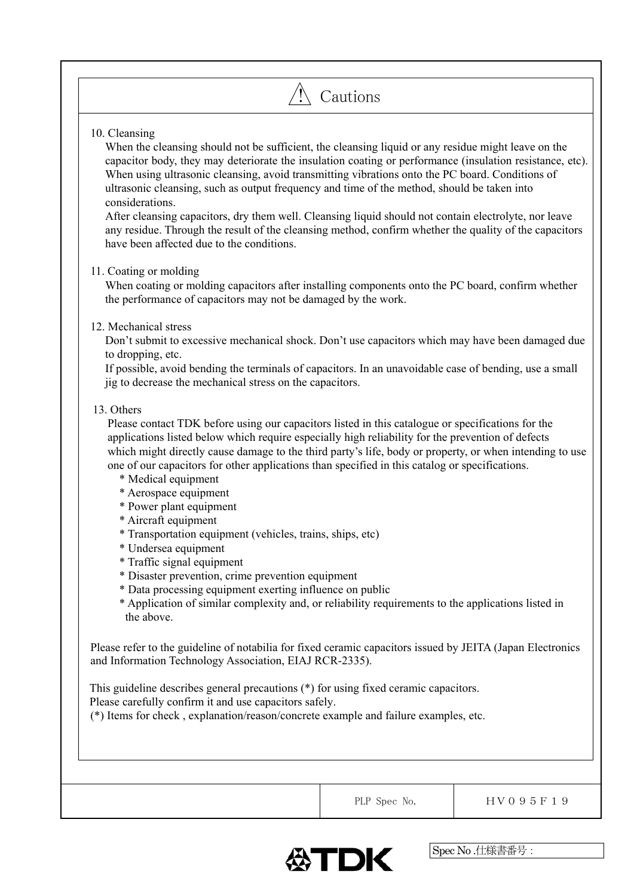# $\bigwedge$  Cautions

# 10. Cleansing

When the cleansing should not be sufficient, the cleansing liquid or any residue might leave on the capacitor body, they may deteriorate the insulation coating or performance (insulation resistance, etc). When using ultrasonic cleansing, avoid transmitting vibrations onto the PC board. Conditions of ultrasonic cleansing, such as output frequency and time of the method, should be taken into considerations.

After cleansing capacitors, dry them well. Cleansing liquid should not contain electrolyte, nor leave any residue. Through the result of the cleansing method, confirm whether the quality of the capacitors have been affected due to the conditions.

# 11. Coating or molding

When coating or molding capacitors after installing components onto the PC board, confirm whether the performance of capacitors may not be damaged by the work.

# 12. Mechanical stress

Don't submit to excessive mechanical shock. Don't use capacitors which may have been damaged due to dropping, etc.

If possible, avoid bending the terminals of capacitors. In an unavoidable case of bending, use a small jig to decrease the mechanical stress on the capacitors.

# 13. Others

Please contact TDK before using our capacitors listed in this catalogue or specifications for the applications listed below which require especially high reliability for the prevention of defects which might directly cause damage to the third party's life, body or property, or when intending to use one of our capacitors for other applications than specified in this catalog or specifications.

- \* Medical equipment
- \* Aerospace equipment
- \* Power plant equipment
- \* Aircraft equipment
- \* Transportation equipment (vehicles, trains, ships, etc)
- \* Undersea equipment
- \* Traffic signal equipment
- \* Disaster prevention, crime prevention equipment
- \* Data processing equipment exerting influence on public
- \* Application of similar complexity and, or reliability requirements to the applications listed in the above.

Please refer to the guideline of notabilia for fixed ceramic capacitors issued by JEITA (Japan Electronics and Information Technology Association, EIAJ RCR-2335).

This guideline describes general precautions (\*) for using fixed ceramic capacitors. Please carefully confirm it and use capacitors safely.

(\*) Items for check , explanation/reason/concrete example and failure examples, etc.



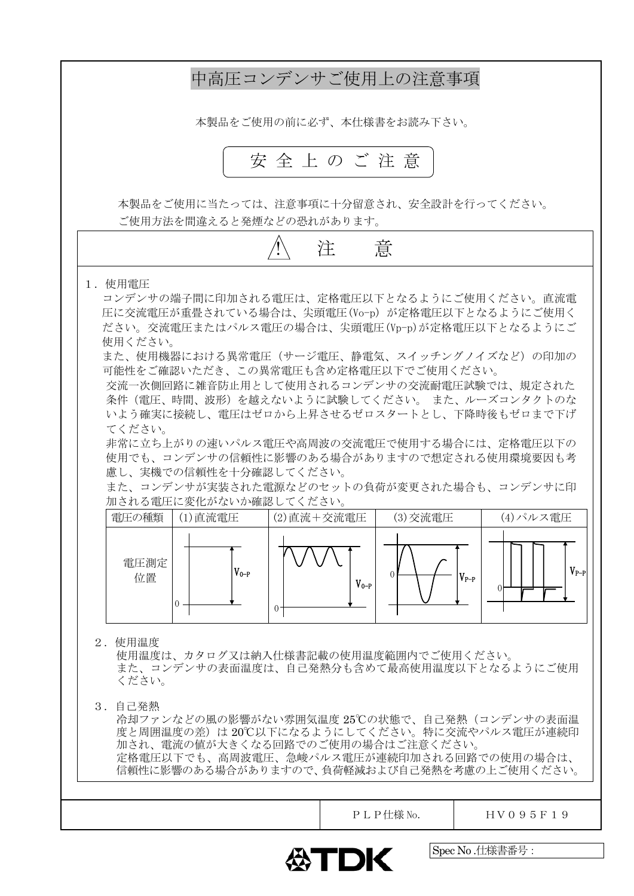

Spec No .仕様書番号: ∰TDK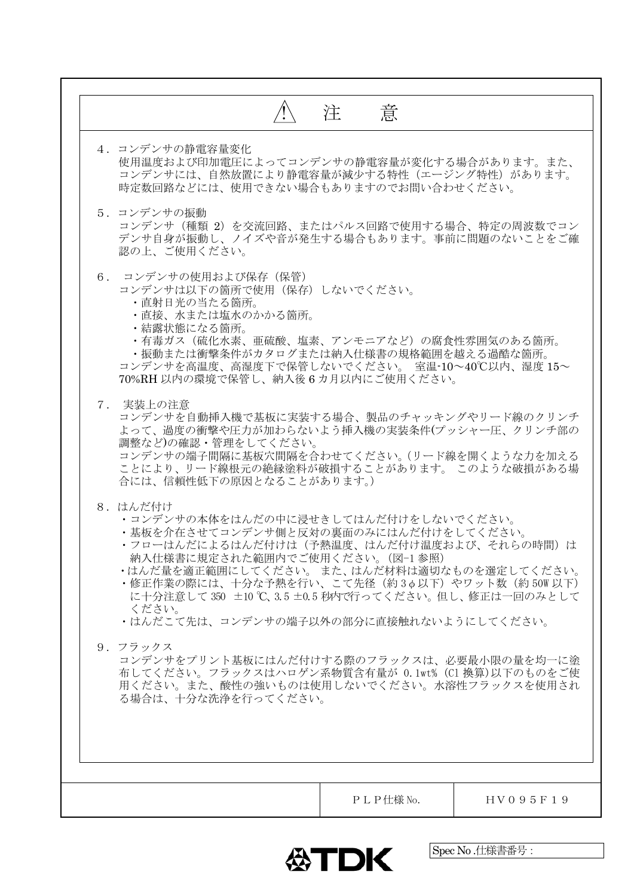|                                                                                                                                                                                                                                                                                                                                                                                   | 意<br>注 |  |
|-----------------------------------------------------------------------------------------------------------------------------------------------------------------------------------------------------------------------------------------------------------------------------------------------------------------------------------------------------------------------------------|--------|--|
| 4. コンデンサの静電容量変化<br>使用温度および印加電圧によってコンデンサの静電容量が変化する場合があります。また、<br>コンデンサには、自然放置により静電容量が減少する特性(エージング特性)があります。<br>時定数回路などには、使用できない場合もありますのでお問い合わせください。                                                                                                                                                                                                                                 |        |  |
| 5. コンデンサの振動<br>コンデンサ (種類 2) を交流回路、またはパルス回路で使用する場合、特定の周波数でコン<br>デンサ自身が振動し、ノイズや音が発生する場合もあります。事前に問題のないことをご確<br>認の上、ご使用ください。                                                                                                                                                                                                                                                          |        |  |
| 6. コンデンサの使用および保存(保管)<br>コンデンサは以下の箇所で使用(保存)しないでください。<br>・直射日光の当たる箇所。<br>・直接、水または塩水のかかる箇所。<br>・結露状態になる箇所。<br>• 有毒ガス (硫化水素、亜硫酸、塩素、アンモニアなど) の腐食性雰囲気のある箇所。<br>・振動または衝撃条件がカタログまたは納入仕様書の規格範囲を越える過酷な箇所。<br>コンデンサを高温度、高湿度下で保管しないでください。 室温-10~40℃以内、湿度 15~<br>70%RH 以内の環境で保管し、納入後6カ月以内にご使用ください。                                                                                             |        |  |
| 7. 実装上の注意<br>コンデンサを自動挿入機で基板に実装する場合、製品のチャッキングやリード線のクリンチ<br>よって、過度の衝撃や圧力が加わらないよう挿入機の実装条件(プッシャー圧、クリンチ部の<br>調整など)の確認・管理をしてください。<br>コンデンサの端子間隔に基板穴間隔を合わせてください。(リード線を開くような力を加える<br>ことにより、リード線根元の絶縁塗料が破損することがあります。 このような破損がある場<br>合には、信頼性低下の原因となることがあります。)                                                                                                                               |        |  |
| 8. はんだ付け<br>・コンデンサの本体をはんだの中に浸せきしてはんだ付けをしないでください。<br>・基板を介在させてコンデンサ側と反対の裏面のみにはんだ付けをしてください。<br>・フローはんだによるはんだ付けは(予熱温度、はんだ付け温度および、それらの時間)は<br>納入仕様書に規定された範囲内でご使用ください。(図-1参照)<br>・はんだ量を適正範囲にしてください。 また、はんだ材料は適切なものを選定してください。<br>・修正作業の際には、十分な予熱を行い、こて先径(約3φ以下)やワット数(約 50W 以下)<br>に十分注意して350 ±10℃、3.5 ±0.5 秒内で行ってください。但し、修正は一回のみとして<br>ください。<br>・はんだこて先は、コンデンサの端子以外の部分に直接触れないようにしてください。 |        |  |
| 9. フラックス<br>コンデンサをプリント基板にはんだ付けする際のフラックスは、必要最小限の量を均一に塗<br>布してください。フラックスはハロゲン系物質含有量が 0.1wt% (C1 換算)以下のものをご使<br>用ください。また、酸性の強いものは使用しないでください。水溶性フラックスを使用され<br>る場合は、十分な洗浄を行ってください。                                                                                                                                                                                                     |        |  |
|                                                                                                                                                                                                                                                                                                                                                                                   |        |  |

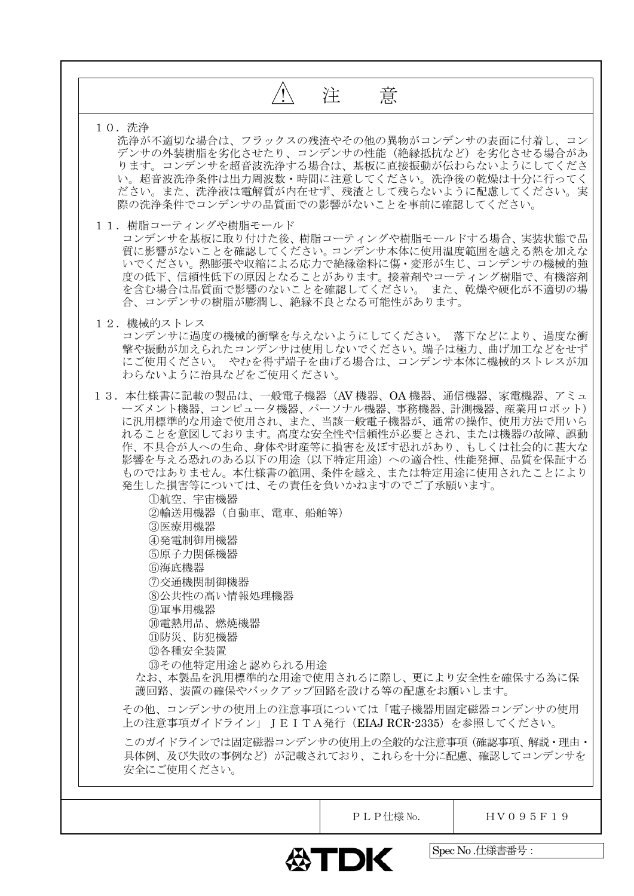| 注 意<br>10. 洗浄<br>洗浄が不適切な場合は、フラックスの残渣やその他の異物がコンデンサの表面に付着し、コン<br>デンサの外装樹脂を劣化させたり、コンデンサの性能(絶縁抵抗など)を劣化させる場合があ<br>ります。コンデンサを超音波洗浄する場合は、基板に直接振動が伝わらないようにしてくださ<br>い。超音波洗浄条件は出力周波数・時間に注意してください。洗浄後の乾燥は十分に行ってく<br>ださい。また、洗浄液は電解質が内在せず、残渣として残らないように配慮してください。実<br>際の洗浄条件でコンデンサの品質面での影響がないことを事前に確認してください。<br>11. 樹脂コーティングや樹脂モールド<br>コンデンサを基板に取り付けた後、樹脂コーティングや樹脂モールドする場合、実装状態で品<br>質に影響がないことを確認してください。コンデンサ本体に使用温度範囲を越える熱を加えな<br>いでください。熱膨張や収縮による応力で絶縁塗料に傷・変形が生じ、コンデンサの機械的強<br>度の低下、信頼性低下の原因となることがあります。接着剤やコーティング樹脂で、有機溶剤<br>を含む場合は品質面で影響のないことを確認してください。 また、乾燥や硬化が不適切の場<br>合、コンデンサの樹脂が膨潤し、絶縁不良となる可能性があります。<br>12. 機械的ストレス<br>コンデンサに過度の機械的衝撃を与えないようにしてください。 落下などにより、過度な衝<br>撃や振動が加えられたコンデンサは使用しないでください。端子は極力、曲げ加工などをせず<br>にご使用ください。 やむを得ず端子を曲げる場合は、コンデンサ本体に機械的ストレスが加<br>わらないように治具などをご使用ください。<br>13.本仕様書に記載の製品は、一般電子機器(AV 機器、OA 機器、通信機器、家電機器、アミュ<br>ーズメント機器、コンピュータ機器、パーソナル機器、事務機器、計測機器、産業用ロボット)<br>に汎用標準的な用途で使用され、また、当該一般電子機器が、通常の操作、使用方法で用いら<br>れることを意図しております。高度な安全性や信頼性が必要とされ、または機器の故障、誤動<br>作、不具合が人への生命、身体や財産等に損害を及ぼす恐れがあり、もしくは社会的に甚大な<br>影響を与える恐れのある以下の用途(以下特定用途)への適合性、性能発揮、品質を保証する<br>ものではありません。本仕様書の範囲、条件を越え、または特定用途に使用されたことにより<br>発生した損害等については、その責任を負いかねますのでご了承願います。<br>①航空、宇宙機器<br>②輸送用機器(自動車、電車、船舶等)<br>(3)医療用機器<br>④発電制御用機器<br>⑤原子力関係機器<br>6海底機器<br>⑦交通機関制御機器<br>8公共性の高い情報処理機器<br>⑨軍事用機器<br>10 雷熱用品、燃焼機器<br>⑪防災、防犯機器 |  |
|-----------------------------------------------------------------------------------------------------------------------------------------------------------------------------------------------------------------------------------------------------------------------------------------------------------------------------------------------------------------------------------------------------------------------------------------------------------------------------------------------------------------------------------------------------------------------------------------------------------------------------------------------------------------------------------------------------------------------------------------------------------------------------------------------------------------------------------------------------------------------------------------------------------------------------------------------------------------------------------------------------------------------------------------------------------------------------------------------------------------------------------------------------------------------------------------------------------------------------------------------------------------------------------------------------------------|--|
|                                                                                                                                                                                                                                                                                                                                                                                                                                                                                                                                                                                                                                                                                                                                                                                                                                                                                                                                                                                                                                                                                                                                                                                                                                                                                                                 |  |
|                                                                                                                                                                                                                                                                                                                                                                                                                                                                                                                                                                                                                                                                                                                                                                                                                                                                                                                                                                                                                                                                                                                                                                                                                                                                                                                 |  |
|                                                                                                                                                                                                                                                                                                                                                                                                                                                                                                                                                                                                                                                                                                                                                                                                                                                                                                                                                                                                                                                                                                                                                                                                                                                                                                                 |  |
|                                                                                                                                                                                                                                                                                                                                                                                                                                                                                                                                                                                                                                                                                                                                                                                                                                                                                                                                                                                                                                                                                                                                                                                                                                                                                                                 |  |
|                                                                                                                                                                                                                                                                                                                                                                                                                                                                                                                                                                                                                                                                                                                                                                                                                                                                                                                                                                                                                                                                                                                                                                                                                                                                                                                 |  |
|                                                                                                                                                                                                                                                                                                                                                                                                                                                                                                                                                                                                                                                                                                                                                                                                                                                                                                                                                                                                                                                                                                                                                                                                                                                                                                                 |  |
| <b>⑫各種安全装置</b><br>13その他特定用途と認められる用途<br>なお、本製品を汎用標準的な用途で使用されるに際し、更により安全性を確保する為に保<br>護回路、装置の確保やバックアップ回路を設ける等の配慮をお願いします。                                                                                                                                                                                                                                                                                                                                                                                                                                                                                                                                                                                                                                                                                                                                                                                                                                                                                                                                                                                                                                                                                                                                                                                           |  |
| その他、コンデンサの使用上の注意事項については「電子機器用固定磁器コンデンサの使用<br>上の注意事項ガイドライン」JEITA発行(EIAJ RCR-2335)を参照してください。                                                                                                                                                                                                                                                                                                                                                                                                                                                                                                                                                                                                                                                                                                                                                                                                                                                                                                                                                                                                                                                                                                                                                                                                                      |  |
| このガイドラインでは固定磁器コンデンサの使用上の全般的な注意事項 (確認事項、解説・理由・<br>具体例、及び失敗の事例など)が記載されており、これらを十分に配慮、確認してコンデンサを<br>安全にご使用ください。                                                                                                                                                                                                                                                                                                                                                                                                                                                                                                                                                                                                                                                                                                                                                                                                                                                                                                                                                                                                                                                                                                                                                                                                     |  |
| PLP仕様 No.                                                                                                                                                                                                                                                                                                                                                                                                                                                                                                                                                                                                                                                                                                                                                                                                                                                                                                                                                                                                                                                                                                                                                                                                                                                                                                       |  |

**公TDK**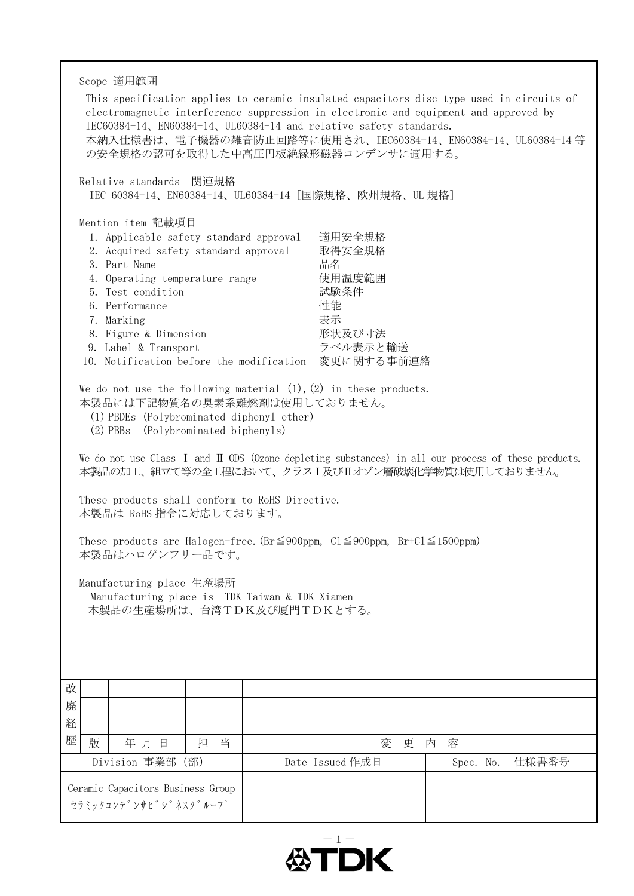| Scope 適用範囲<br>IEC60384-14, EN60384-14, UL60384-14 and relative safety standards.<br>の安全規格の認可を取得した中高圧円板絶縁形磁器コンデンサに適用する。<br>Relative standards 関連規格                                                                                                                                                                                                                                |                                                                                                         | This specification applies to ceramic insulated capacitors disc type used in circuits of<br>electromagnetic interference suppression in electronic and equipment and approved by<br>本納入仕様書は、電子機器の雑音防止回路等に使用され、IEC60384-14、EN60384-14、UL60384-14 等 |  |  |  |  |
|----------------------------------------------------------------------------------------------------------------------------------------------------------------------------------------------------------------------------------------------------------------------------------------------------------------------------------------------------------------------------------|---------------------------------------------------------------------------------------------------------|---------------------------------------------------------------------------------------------------------------------------------------------------------------------------------------------------------------------------------------------------|--|--|--|--|
| IEC 60384-14、EN60384-14、UL60384-14 [国際規格、欧州規格、UL 規格]                                                                                                                                                                                                                                                                                                                             |                                                                                                         |                                                                                                                                                                                                                                                   |  |  |  |  |
| Mention item 記載項目<br>1. Applicable safety standard approval<br>2. Acquired safety standard approval<br>3. Part Name<br>4. Operating temperature range<br>5. Test condition<br>6. Performance<br>7. Marking<br>8. Figure & Dimension<br>9. Label & Transport<br>10. Notification before the modification<br>We do not use the following material $(1)$ , $(2)$ in these products. | 適用安全規格<br>取得安全規格<br>品名<br>使用温度範囲<br>試験条件<br>性能<br>表示<br>形状及び寸法<br>ラベル表示と輸送<br>変更に関する事前連絡                |                                                                                                                                                                                                                                                   |  |  |  |  |
| $(2)$ PBBs                                                                                                                                                                                                                                                                                                                                                                       | 本製品には下記物質名の臭素系難燃剤は使用しておりません。<br>(1) PBDEs (Polybrominated diphenyl ether)<br>(Polybrominated biphenyls) |                                                                                                                                                                                                                                                   |  |  |  |  |
|                                                                                                                                                                                                                                                                                                                                                                                  |                                                                                                         | We do not use Class I and II ODS (Ozone depleting substances) in all our process of these products.<br>本製品の加工、組立て等の全工程において、クラスI及びIIオゾン層破壊化学物質は使用しておりません。                                                                                          |  |  |  |  |
| These products shall conform to RoHS Directive.<br>本製品は RoHS 指令に対応しております。                                                                                                                                                                                                                                                                                                        |                                                                                                         |                                                                                                                                                                                                                                                   |  |  |  |  |
| These products are Halogen-free. (Br $\leq$ 900ppm, Cl $\leq$ 900ppm, Br+Cl $\leq$ 1500ppm)<br>本製品はハロゲンフリー品です。                                                                                                                                                                                                                                                                   |                                                                                                         |                                                                                                                                                                                                                                                   |  |  |  |  |
| Manufacturing place 生産場所<br>Manufacturing place is TDK Taiwan & TDK Xiamen<br>本製品の生産場所は、台湾TDK及び厦門TDKとする。                                                                                                                                                                                                                                                                         |                                                                                                         |                                                                                                                                                                                                                                                   |  |  |  |  |
| 改                                                                                                                                                                                                                                                                                                                                                                                |                                                                                                         |                                                                                                                                                                                                                                                   |  |  |  |  |
| 廃<br>経                                                                                                                                                                                                                                                                                                                                                                           |                                                                                                         |                                                                                                                                                                                                                                                   |  |  |  |  |
| 歴<br>版<br>当<br>年月日<br>担                                                                                                                                                                                                                                                                                                                                                          | 変                                                                                                       | 容<br>更<br>内                                                                                                                                                                                                                                       |  |  |  |  |
| Division 事業部 (部)                                                                                                                                                                                                                                                                                                                                                                 | Date Issued 作成日                                                                                         | 仕様書番号<br>Spec. No.                                                                                                                                                                                                                                |  |  |  |  |
| Ceramic Capacitors Business Group<br>セラミックコンテ゛ンサヒ゛シ゛ネスク゛ルーフ゜                                                                                                                                                                                                                                                                                                                     |                                                                                                         |                                                                                                                                                                                                                                                   |  |  |  |  |

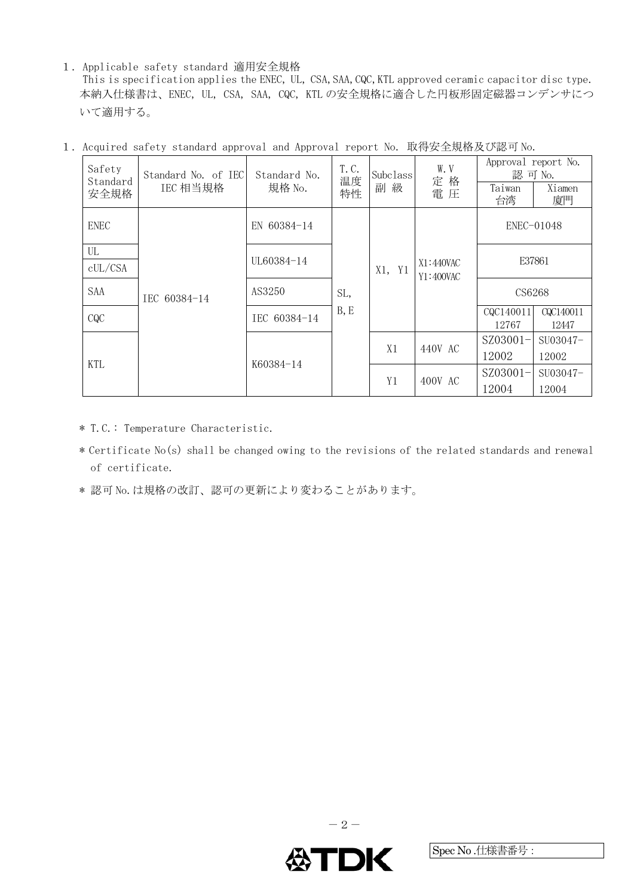1.Applicable safety standard 適用安全規格

This is specification applies the ENEC, UL, CSA,SAA,CQC,KTL approved ceramic capacitor disc type. 本納入仕様書は、ENEC, UL, CSA, SAA, CQC, KTL の安全規格に適合した円板形固定磁器コンデンサにつ いて適用する。

| Safety<br>Standard | Standard No. of IEC<br>Standard No.                 |             | T.C.<br>温度   | Subclass                 | W.V<br>定格              | Approval report No.<br>認可 No. |                     |            |  |        |  |  |        |  |
|--------------------|-----------------------------------------------------|-------------|--------------|--------------------------|------------------------|-------------------------------|---------------------|------------|--|--------|--|--|--------|--|
| 安全規格               | IEC 相当規格                                            |             | 規格 No.<br>特性 | 副級                       | 電圧                     | Taiwan<br>台湾                  | Xiamen<br>廈門        |            |  |        |  |  |        |  |
| <b>ENEC</b>        |                                                     | EN 60384-14 |              |                          |                        |                               |                     | ENEC-01048 |  |        |  |  |        |  |
| UL                 |                                                     | UL60384-14  |              |                          |                        |                               |                     |            |  | E37861 |  |  |        |  |
| cUL/CSA            | AS3250<br>IEC 60384-14<br>IEC 60384-14<br>K60384-14 |             |              | Y <sub>1</sub><br>$X1$ , | X1:440VAC<br>Y1:400VAC |                               |                     |            |  |        |  |  |        |  |
| SAA                |                                                     |             | SL,          |                          |                        |                               |                     |            |  |        |  |  | CS6268 |  |
| CQC                |                                                     |             | B, E         |                          |                        | CQC140011<br>12767            | CQC140011<br>12447  |            |  |        |  |  |        |  |
|                    |                                                     |             | X1           | 440V AC                  | $SZ03001-$             | SU03047-                      |                     |            |  |        |  |  |        |  |
| <b>KTL</b>         |                                                     |             |              |                          |                        | 12002                         | 12002               |            |  |        |  |  |        |  |
|                    |                                                     |             |              | Y <sub>1</sub>           | 400V AC                | SZ03001-                      | SU <sub>03047</sub> |            |  |        |  |  |        |  |
|                    |                                                     |             |              |                          |                        | 12004                         | 12004               |            |  |        |  |  |        |  |

1.Acquired safety standard approval and Approval report No. 取得安全規格及び認可 No.

- \* T.C.: Temperature Characteristic.
- \* Certificate No(s) shall be changed owing to the revisions of the related standards and renewal of certificate.
- \* 認可 No. は規格の改訂、認可の更新により変わることがあります。

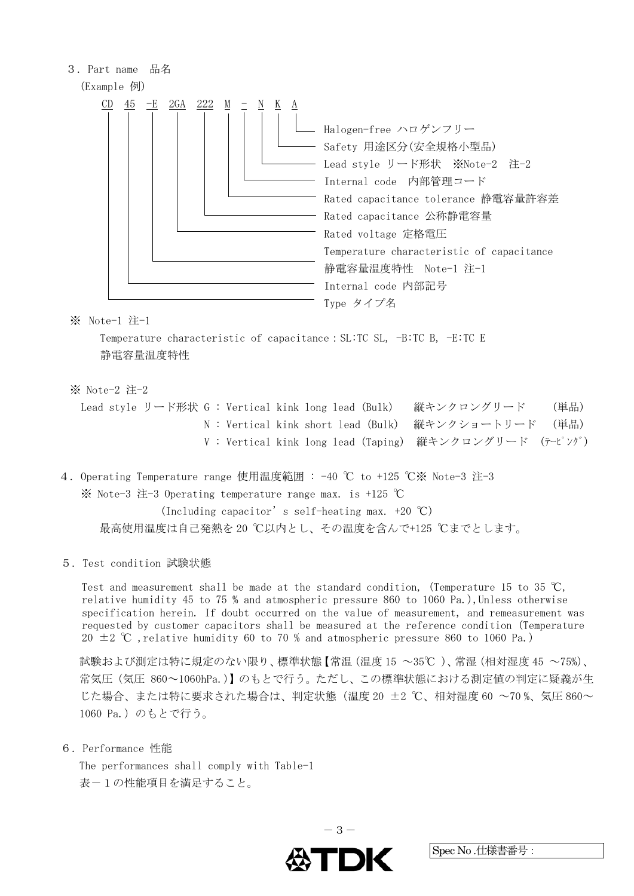

※ Note-1 注-1

 Temperature characteristic of capacitance:SL:TC SL, -B:TC B, -E:TC E 静電容量温度特性

※ Note-2 注-2

 Lead style リード形状 G : Vertical kink long lead (Bulk) 縦キンクロングリード (単品) N : Vertical kink short lead (Bulk) 縦キンクショートリード (単品) V : Vertical kink long lead (Taping) 縦キンクロングリード (テーピング)

4.Operating Temperature range 使用温度範囲 : -40 ℃ to +125 ℃※ Note-3 注-3 ※ Note-3 注-3 Operating temperature range max. is +125 ℃

 (Including capacitor's self-heating max. +20 ℃) 最高使用温度は自己発熱を 20 ℃以内とし、その温度を含んで+125 ℃までとします。

5.Test condition 試験状態

Test and measurement shall be made at the standard condition, (Temperature 15 to 35 °C, relative humidity 45 to 75 % and atmospheric pressure 860 to 1060 Pa.),Unless otherwise specification herein. If doubt occurred on the value of measurement, and remeasurement was requested by customer capacitors shall be measured at the reference condition (Temperature 20  $\pm$  2 °C, relative humidity 60 to 70 % and atmospheric pressure 860 to 1060 Pa.)

試験および測定は特に規定のない限り、標準状態【常温(温度 15 ~35℃ )、常湿(相対湿度 45 ~75%)、 常気圧(気圧 860~1060hPa.)】のもとで行う。ただし、この標準状態における測定値の判定に疑義が生 じた場合、または特に要求された場合は、判定状態(温度 20 ±2 ℃、相対湿度 60 ~70 %、気圧 860~ 1060 Pa.) のもとで行う。

6.Performance 性能

The performances shall comply with Table-1 表-1の性能項目を満足すること。

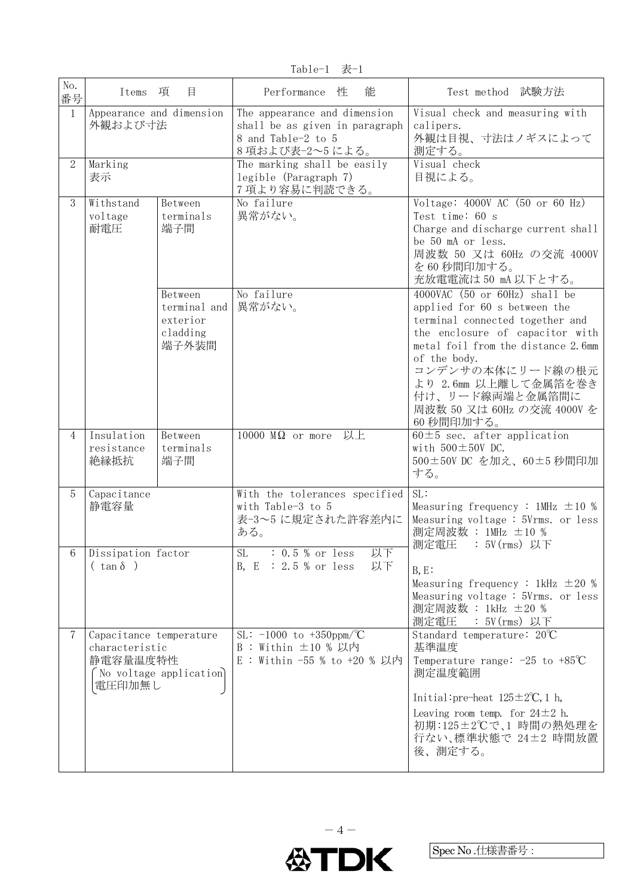$Table-1$  表 $-1$ 

| No.<br>番号      | Items 項                                                         | 目                                                        | Performance 性<br>能                                                                                     | Test method 試験方法                                                                                                                                                                                                                                                                                     |
|----------------|-----------------------------------------------------------------|----------------------------------------------------------|--------------------------------------------------------------------------------------------------------|------------------------------------------------------------------------------------------------------------------------------------------------------------------------------------------------------------------------------------------------------------------------------------------------------|
| $\mathbf{1}$   | Appearance and dimension<br>外観および寸法                             |                                                          | The appearance and dimension<br>shall be as given in paragraph<br>8 and Table-2 to 5<br>8項および表-2~5による。 | Visual check and measuring with<br>calipers.<br>外観は目視、寸法はノギスによって<br>測定する。                                                                                                                                                                                                                            |
| $\overline{2}$ | Marking<br>表示                                                   |                                                          | The marking shall be easily<br>legible (Paragraph 7)<br>7 項より容易に判読できる。                                 | Visual check<br>目視による。                                                                                                                                                                                                                                                                               |
| 3              | Withstand<br>voltage<br>耐電圧                                     | Between<br>terminals<br>端子間                              | No failure<br>異常がない。                                                                                   | Voltage: 4000V AC (50 or 60 Hz)<br>Test time: 60 s<br>Charge and discharge current shall<br>be 50 mA or less.<br>周波数 50 又は 60Hz の交流 4000V<br>を60秒間印加する。<br>充放電電流は50 mA 以下とする。                                                                                                                        |
|                |                                                                 | Between<br>terminal and<br>exterior<br>cladding<br>端子外装間 | No failure<br>異常がない。                                                                                   | 4000VAC (50 or 60Hz) shall be<br>applied for 60 s between the<br>terminal connected together and<br>the enclosure of capacitor with<br>metal foil from the distance 2.6mm<br>of the body.<br>コンデンサの本体にリード線の根元<br>より 2.6mm 以上離して金属箔を巻き<br>付け、リード線両端と金属箔間に<br>周波数 50 又は 60Hz の交流 4000V を<br>60 秒間印加する。 |
| $\overline{4}$ | Insulation<br>resistance<br>絶縁抵抗                                | Between<br>terminals<br>端子間                              | 以上<br>10000 $M\Omega$ or more                                                                          | $60 \pm 5$ sec. after application<br>with $500 \pm 50V$ DC.<br>500±50V DC を加え、60±5秒間印加<br>する。                                                                                                                                                                                                        |
| $\overline{5}$ | Capacitance<br>静電容量                                             |                                                          | With the tolerances specified<br>with Table-3 to 5<br>表-3~5 に規定された許容差内に<br>ある。                         | SL:<br>Measuring frequency : 1MHz $\pm 10$ %<br>Measuring voltage: 5Vrms. or less<br>測定周波数 : 1MHz ±10 %<br>測定電圧<br>:5V(rms) 以下                                                                                                                                                                       |
|                | 6 Dissipation factor<br>$(\tan \delta)$                         |                                                          | 以下<br>SL<br>$: 0.5 %$ or less<br>B, $E : 2.5 %$ or less<br>以下                                          | $B, E$ :<br>Measuring frequency : 1kHz $\pm 20$ %<br>Measuring voltage: 5Vrms. or less<br>測定周波数 : 1kHz ±20 %<br>測定電圧<br>: 5V(rms) 以下                                                                                                                                                                 |
| 7              | Capacitance temperature<br>characteristic<br>静電容量温度特性<br>電圧印加無し | No voltage application                                   | SL: $-1000$ to $+350$ ppm $\sqrt{C}$<br>$B:$ Within $\pm 10$ % 以内<br>E : Within -55 % to +20 % 以内      | Standard temperature: 20°C<br>基準温度<br>Temperature range: $-25$ to $+85^{\circ}\text{C}$<br>測定温度範囲<br>Initial: pre-heat $125 \pm 2^{\circ}C$ , 1 h,<br>Leaving room temp. for $24\pm2$ h.<br>初期:125±2℃で、1 時間の熱処理を<br>行ない、標準状態で 24±2 時間放置<br>後、測定する。                                                   |

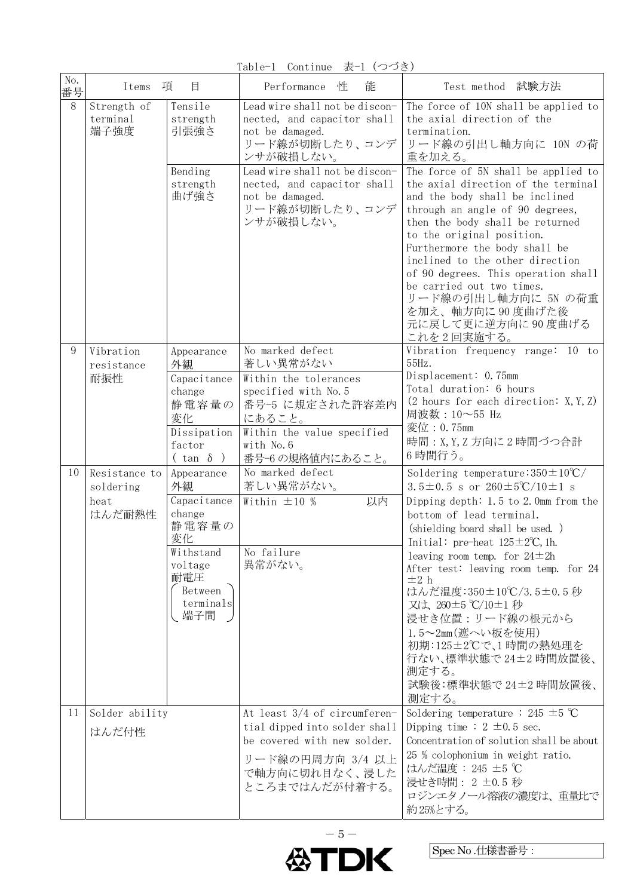Table-1 Continue 表-1 (つづき)

| No.<br>番号 | Items                                        | 項<br>目                                                                                                                 | 能<br>Performance<br>性                                                                                                                                                                                                              | Test method 試験方法                                                                                                                                                                                                                                                                                                                                                                                                                                                                                                                                            |
|-----------|----------------------------------------------|------------------------------------------------------------------------------------------------------------------------|------------------------------------------------------------------------------------------------------------------------------------------------------------------------------------------------------------------------------------|-------------------------------------------------------------------------------------------------------------------------------------------------------------------------------------------------------------------------------------------------------------------------------------------------------------------------------------------------------------------------------------------------------------------------------------------------------------------------------------------------------------------------------------------------------------|
| $8\,$     | Strength of<br>terminal<br>端子強度              | Tensile<br>strength<br>引張強さ<br>Bending<br>strength<br>曲げ強さ                                                             | Lead wire shall not be discon-<br>nected, and capacitor shall<br>not be damaged.<br>リード線が切断したり、コンデ<br>ンサが破損しない。<br>Lead wire shall not be discon-<br>nected, and capacitor shall<br>not be damaged.<br>リード線が切断したり、コンデ<br>ンサが破損しない。 | The force of 10N shall be applied to<br>the axial direction of the<br>termination.<br>リード線の引出し軸方向に 10N の荷<br>重を加える。<br>The force of 5N shall be applied to<br>the axial direction of the terminal<br>and the body shall be inclined<br>through an angle of 90 degrees,<br>then the body shall be returned<br>to the original position.<br>Furthermore the body shall be<br>inclined to the other direction<br>of 90 degrees. This operation shall<br>be carried out two times.<br>リード線の引出し軸方向に 5N の荷重<br>を加え、軸方向に90度曲げた後<br>元に戻して更に逆方向に90度曲げる<br>これを2回実施する。 |
| 9         | Vibration<br>resistance<br>耐振性               | Appearance<br>外観<br>Capacitance<br>change<br>静電容量の<br>変化<br>Dissipation<br>factor<br>$(\tan \delta)$                   | No marked defect<br>著しい異常がない<br>Within the tolerances<br>specified with No. 5<br>番号-5 に規定された許容差内<br>にあること。<br>Within the value specified<br>with No. 6<br>番号-6の規格値内にあること。                                                          | Vibration frequency range: 10 to<br>55Hz.<br>Displacement: 0.75mm<br>Total duration: 6 hours<br>(2 hours for each direction: $X, Y, Z$ )<br>周波数:10~55 Hz<br>変位: 0.75mm<br>時間: X, Y, Z 方向に 2 時間づつ合計<br>6時間行う。                                                                                                                                                                                                                                                                                                                                                |
| 10        | Resistance to<br>soldering<br>heat<br>はんだ耐熱性 | Appearance<br>外観<br>Capacitance<br>change<br>静電容量の<br>変化<br>Withstand<br>voltage<br>耐電圧<br>Between<br>terminals<br>端子間 | No marked defect<br>著しい異常がない。<br>以内<br>Within $\pm 10$ %<br>No failure<br>異常がない。                                                                                                                                                   | Soldering temperature: $350 \pm 10^{\circ}$ C/<br>3.5±0.5 s or $260\pm5\degree\text{C}/10\pm1$ s<br>Dipping depth: $1.5$ to $2.0$ mm from the<br>bottom of lead terminal.<br>(shielding board shall be used.)<br>Initial: pre-heat $125 \pm 2^{\circ}C$ , 1h.<br>leaving room temp. for $24 \pm 2h$<br>After test: leaving room temp. for 24<br>$\pm 2$ h<br>はんだ温度:350±10℃/3.5±0.5秒<br>又は、260±5 ℃/10±1 秒<br>浸せき位置:リード線の根元から<br>1.5~2mm(遮へい板を使用)<br>初期:125±2℃で、1時間の熱処理を<br>行ない、標準状態で24±2時間放置後、<br>測定する。<br>試験後:標準状態で24±2時間放置後、<br>測定する。                      |
| 11        | Solder ability<br>はんだ付性                      |                                                                                                                        | At least 3/4 of circumferen-<br>tial dipped into solder shall<br>be covered with new solder.<br>リード線の円周方向 3/4 以上<br>で軸方向に切れ目なく、浸した<br>ところまではんだが付着する。                                                                               | Soldering temperature : 245 $\pm$ 5 °C<br>Dipping time : $2 \pm 0.5$ sec.<br>Concentration of solution shall be about<br>25 % colophonium in weight ratio.<br>はんだ温度: 245 ±5 ℃<br>浸せき時間: 2 ±0.5 秒<br>ロジンエタノール溶液の濃度は、重量比で<br>約25%とする。                                                                                                                                                                                                                                                                                                                         |

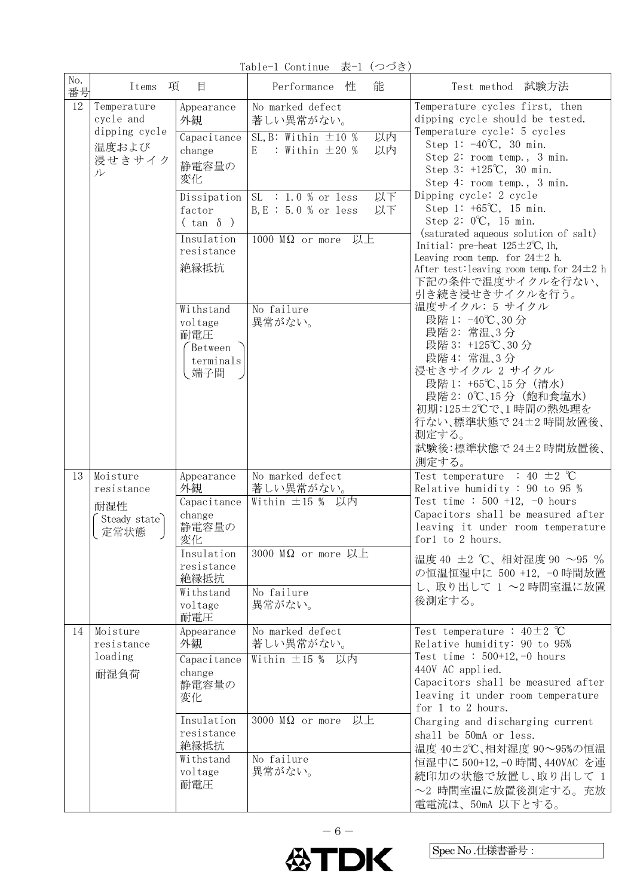Table-1 Continue 表-1 (つづき)

| No.<br>番号 | 項<br>Items                                                        | 目                                                               | 能<br>Performance<br>性                                                                              | Test method 試験方法                                                                                                                                                                                                                           |
|-----------|-------------------------------------------------------------------|-----------------------------------------------------------------|----------------------------------------------------------------------------------------------------|--------------------------------------------------------------------------------------------------------------------------------------------------------------------------------------------------------------------------------------------|
| 12        | Temperature<br>cycle and<br>dipping cycle<br>温度および<br>浸せきサイク<br>ル | Appearance<br>外観<br>Capacitance<br>change<br>静電容量の<br>変化        | No marked defect<br>著しい異常がない。<br>SL, B: Within $\pm 10$ %<br>以内<br>: Within $\pm 20$ %<br>以内<br>E. | Temperature cycles first, then<br>dipping cycle should be tested.<br>Temperature cycle: 5 cycles<br>Step 1: $-40^{\circ}$ C, 30 min.<br>Step 2: room temp., 3 min.<br>Step 3: $+125^{\circ}C$ , 30 min.<br>Step 4: room temp., 3 min.      |
|           |                                                                   | Dissipation<br>factor<br>$(\tan \delta)$<br>Insulation          | 以下<br>$SL: 1.0 %$ or less<br>$B, E : 5.0 %$ or less<br>以下                                          | Dipping cycle: 2 cycle<br>Step 1: $+65^{\circ}C$ , 15 min.<br>Step 2: 0°C, 15 min.<br>(saturated aqueous solution of salt)                                                                                                                 |
|           |                                                                   | resistance<br>絶縁抵抗                                              | $1000$ M $\Omega$ or more 以上                                                                       | Initial: pre-heat $125 \pm 2^{\circ}C$ , 1h,<br>Leaving room temp. for $24 \pm 2$ h.<br>After test: leaving room temp. for $24 \pm 2$ h<br>下記の条件で温度サイクルを行ない、<br>引き続き浸せきサイクルを行う。                                                            |
|           |                                                                   | Withstand<br>voltage<br>耐電圧<br>Between<br>terminals<br>端子間      | No failure<br>異常がない。                                                                               | 温度サイクル: 5 サイクル<br>段階 1: -40℃、30分<br>段階2: 常温、3分<br>段階 3: +125℃、30分<br>段階 4: 常温、3分<br>浸せきサイクル 2 サイクル<br>段階 1: +65℃、15分 (清水)<br>段階 2: 0℃、15 分 (飽和食塩水)<br>初期:125±2℃で、1時間の熱処理を<br>行ない、標準状態で24±2時間放置後、<br>測定する。<br>試験後:標準状態で 24±2時間放置後、<br>測定する。 |
| 13        | Moisture<br>resistance<br>耐湿性<br>Steady state<br>定常状態             | Appearance<br>外観<br>Capacitance<br>change<br>静電容量の<br>変化        | No marked defect<br>著しい異常がない。<br>Within ±15 % 以内                                                   | Test temperature : 40 $\pm$ 2 °C<br>Relative humidity: 90 to 95 %<br>Test time : $500 +12$ , -0 hours<br>Capacitors shall be measured after<br>leaving it under room temperature<br>for1 to 2 hours.                                       |
|           |                                                                   | Insulation<br>resistance<br>絶縁抵抗<br>Withstand<br>voltage<br>耐電圧 | 3000 M $\Omega$ or more 以上<br>No failure<br>異常がない。                                                 | 温度 40 ±2 ℃、相対湿度 90 ~95 %<br>の恒温恒湿中に 500 +12, -0 時間放置<br>し、取り出して 1~2時間室温に放置<br>後測定する。                                                                                                                                                       |
| 14        | Moisture<br>resistance<br>loading<br>耐湿負荷                         | Appearance<br>外観<br>Capacitance<br>change<br>静電容量の<br>変化        | No marked defect<br>著しい異常がない。<br>Within ±15 % 以内                                                   | Test temperature : $40 \pm 2$ °C<br>Relative humidity: 90 to 95%<br>Test time: $500+12, -0$ hours<br>440V AC applied.<br>Capacitors shall be measured after<br>leaving it under room temperature<br>for 1 to 2 hours.                      |
|           |                                                                   | Insulation<br>resistance<br>絶縁抵抗<br>Withstand<br>voltage<br>耐電圧 | 3000 $M\Omega$ or more<br>以上<br>No failure<br>異常がない。                                               | Charging and discharging current<br>shall be 50mA or less.<br>温度 40±2℃、相対湿度 90~95%の恒温<br>恒湿中に 500+12,-0 時間、440VAC を連<br>続印加の状態で放置し、取り出して 1<br>~2 時間室温に放置後測定する。充放<br>電電流は、50mA 以下とする。                                                       |

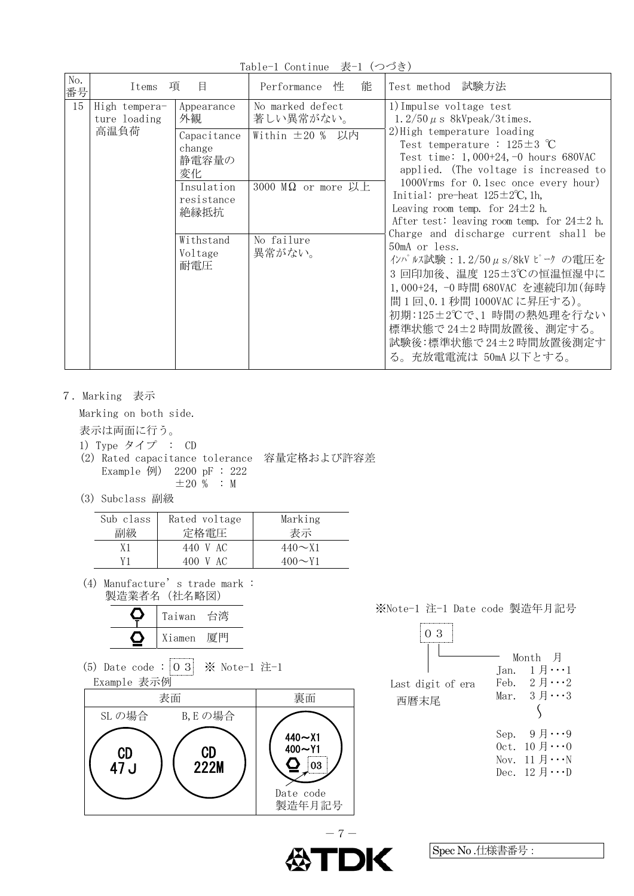No. <u>WC.</u> Items 項 目 | Performance 性 能 | Test method 試験方法 15 High temperature loading 高温負荷 Appearance 外観 No marked defect 著しい異常がない。 1)Impulse voltage test 1.2/50  $\mu$  s 8kVpeak/3times. 2)High temperature loading Test temperature : 125±3 ℃ Test time: 1,000+24,-0 hours 680VAC applied. (The voltage is increased to 1000Vrms for 0.1sec once every hour) Initial: pre-heat  $125 \pm 2$ °C, 1h, Leaving room temp. for  $24\pm2$  h. After test: leaving room temp. for  $24\pm2$  h. Charge and discharge current shall be 50mA or less. インパルス試験:1.2/50μs/8kV ピーク の電圧を 3 回印加後、温度 125±3℃の恒温恒湿中に 1,000+24, -0 時間 680VAC を連続印加(毎時 間 1 回、0.1 秒間 1000VAC に昇圧する)。 初期:125±2℃で、1 時間の熱処理を行ない 標準状態で 24±2 時間放置後、測定する。 試験後:標準状態で 24±2 時間放置後測定す る。充放電電流は 50mA 以下とする。 **Capacitance** change 静電容量の 変化 Within  $±20%$  以内 Insulation resistance 絶縁抵抗 3000 MΩ or more 以上 Withstand Voltage 耐電圧 No failure 異常がない。

Table-1 Continue 表-1 (つづき)

7.Marking 表示

Marking on both side.

表示は両面に行う。

- 1) Type タイプ : CD
- (2) Rated capacitance tolerance 容量定格および許容差 Example 例) 2200 pF : 222  $\pm 20$  % : M
- (3) Subclass 副級

| Sub class<br>副級 | Rated voltage<br>定格電圧 | Marking<br>表示 |
|-----------------|-----------------------|---------------|
| Х1              | 440 V AC              | $440 \sim 11$ |
| V1              | 400 V AC              | $400 \sim Y1$ |

(4) Manufacture's trade mark : 製造業者名(社名略図)

| Taiwan | 台湾 |
|--------|----|
| Xiamen | 一息 |

(5) Date code :  $\begin{bmatrix} 0 & 3 \end{bmatrix}$   $\mathbb{X}$  Note-1  $\mathbb{Z}$ -1 Example 表示例





| 3<br>Last digit of era<br>西暦末尾 | Tan. | Month 月<br>1 月・・・1<br>Feb. $2 \text{ } \mathit{H} \cdots 2$<br>Mar. $3 \text{ H} \cdots 3$                                                      |
|--------------------------------|------|-------------------------------------------------------------------------------------------------------------------------------------------------|
|                                |      | Sep. $9 \n\text{H} \cdots 9$<br>0ct. $10 \text{ }\mathit{H} \cdots 0$<br>Nov. $11 \n\text{H} \cdots \nN$<br>Dec. $12 \text{ H} \cdots \text{D}$ |

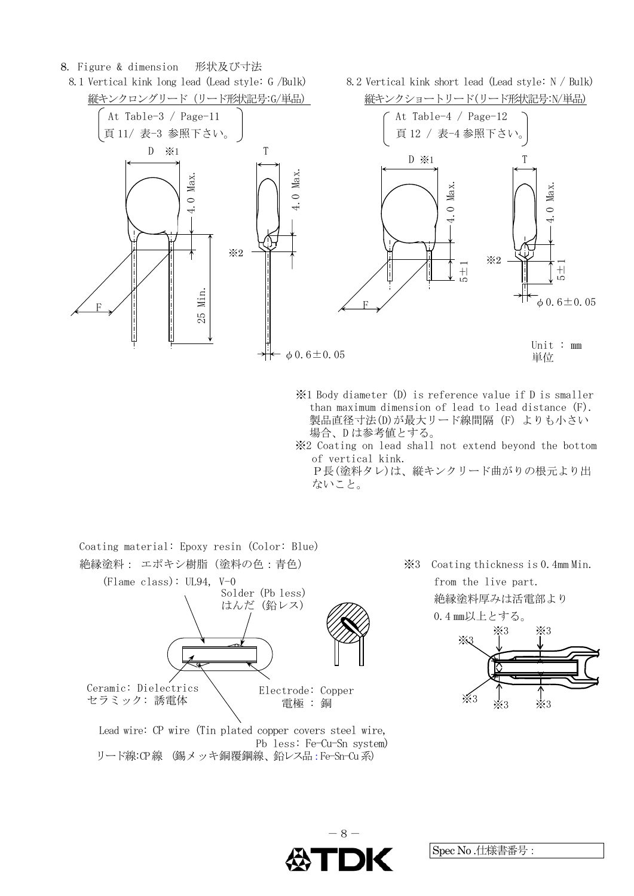#### 8. Figure & dimension 形状及び寸法

8.1 Vertical kink long lead (Lead style: G /Bulk) 8.2 Vertical kink short lead (Lead style: N / Bulk)



- ※1 Body diameter (D) is reference value if D is smaller than maximum dimension of lead to lead distance (F). 製品直径寸法(D)が最大リード線間隔(F) よりも小さい 場合、D は参考値とする。 ※2 Coating on lead shall not extend beyond the bottom
- of vertical kink.

P長(塗料タレ)は、縦キンクリード曲がりの根元より出 ないこと。



Pb less: Fe-Cu-Sn system) リード線:CP線 (錫メッキ銅覆鋼線、鉛レス品:Fe-Sn-Cu系)

絶縁塗料厚みは活電部より

0.4 ㎜以上とする。



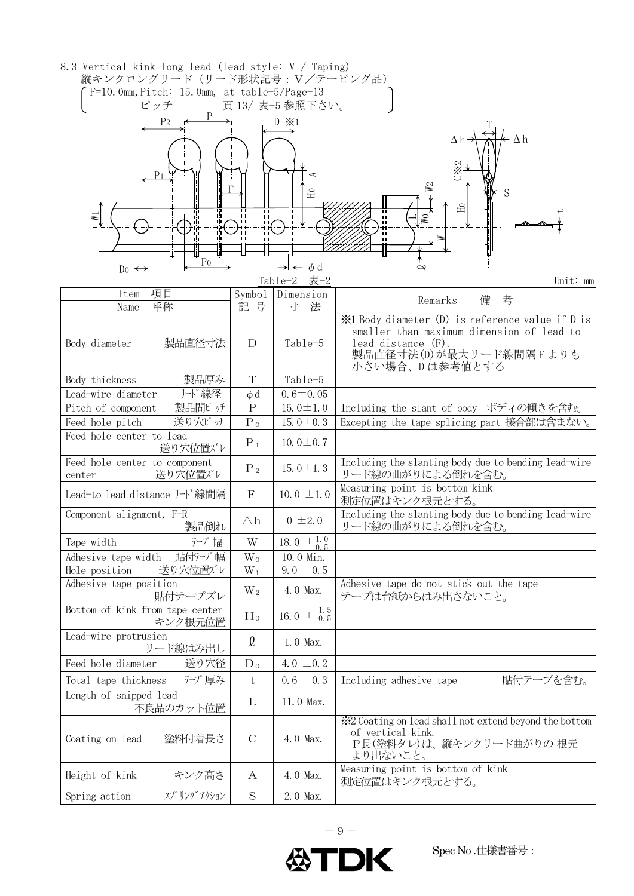| 8.3 Vertical kink long lead (lead style: V / Taping)                              |                      |                                     |                                                                                                                                |  |  |  |  |  |  |
|-----------------------------------------------------------------------------------|----------------------|-------------------------------------|--------------------------------------------------------------------------------------------------------------------------------|--|--|--|--|--|--|
| 縦キンクロングリード (リード形状記号:V/テーピング品)<br>$F=10$ . Omm, Pitch: 15. Omm, at table-5/Page-13 |                      |                                     |                                                                                                                                |  |  |  |  |  |  |
| ピッチ<br>頁13/表-5参照下さい。                                                              |                      |                                     |                                                                                                                                |  |  |  |  |  |  |
| P <sub>2</sub><br>$D \times 1$                                                    |                      |                                     |                                                                                                                                |  |  |  |  |  |  |
|                                                                                   |                      |                                     | $\Delta h$                                                                                                                     |  |  |  |  |  |  |
| P <sub>1</sub>                                                                    |                      |                                     | <b>C※2</b>                                                                                                                     |  |  |  |  |  |  |
|                                                                                   |                      | E                                   | W <sub>2</sub>                                                                                                                 |  |  |  |  |  |  |
|                                                                                   | π                    | п                                   | $\Xi$                                                                                                                          |  |  |  |  |  |  |
| 帯<br>$\overline{\mathbb{Y}}$<br>пh                                                | 罰                    | $\blacksquare$                      | $\mathbb{N}$                                                                                                                   |  |  |  |  |  |  |
| тh                                                                                | 1H<br>$\blacksquare$ |                                     | $\geq$                                                                                                                         |  |  |  |  |  |  |
|                                                                                   |                      |                                     |                                                                                                                                |  |  |  |  |  |  |
| P <sub>0</sub><br>$D_0 \leftrightarrow$                                           |                      | $\rightarrow$ $\leftarrow$ $\phi$ d | $\mathbf{\Omega}$                                                                                                              |  |  |  |  |  |  |
|                                                                                   |                      | Table-2 表-2                         | Unit: mm                                                                                                                       |  |  |  |  |  |  |
| 項目<br>Item                                                                        | Symbo1               | Dimension                           | 備<br>考<br>Remarks                                                                                                              |  |  |  |  |  |  |
| 呼称<br>Name                                                                        | 記号                   | 寸<br>法                              | ion X <sup>1</sup> Body diameter (D) is reference value if D is                                                                |  |  |  |  |  |  |
|                                                                                   |                      |                                     | smaller than maximum dimension of lead to                                                                                      |  |  |  |  |  |  |
| 製品直径寸法<br>Body diameter                                                           | D                    | Table-5                             | lead distance (F).                                                                                                             |  |  |  |  |  |  |
|                                                                                   |                      |                                     | 製品直径寸法(D)が最大リード線間隔Fよりも                                                                                                         |  |  |  |  |  |  |
| 製品厚み<br>Body thickness                                                            | T                    | Table-5                             | 小さい場合、Dは参考値とする                                                                                                                 |  |  |  |  |  |  |
| リード線径<br>Lead-wire diameter                                                       | $\phi$ d             | $0.6 \pm 0.05$                      |                                                                                                                                |  |  |  |  |  |  |
| 製品間ピッチ<br>Pitch of component                                                      | $\rm P$              | 15.0 $\pm$ 1.0                      | Including the slant of body ボディの傾きを含む。                                                                                         |  |  |  |  |  |  |
| 送り穴ピッチ<br>Feed hole pitch                                                         | $P_0$                | 15.0 $\pm$ 0.3                      | Excepting the tape splicing part 接合部は含まない。                                                                                     |  |  |  |  |  |  |
| Feed hole center to lead<br>送り穴位置バレ                                               | $P_1$                | 10.0 $\pm$ 0.7                      |                                                                                                                                |  |  |  |  |  |  |
| Feed hole center to component<br>送り穴位置バレ<br>center                                | $P_2$                | 15.0 $\pm$ 1.3                      | Including the slanting body due to bending lead-wire<br>リード線の曲がりによる倒れを含む。                                                      |  |  |  |  |  |  |
| Lead-to lead distance ナド線間隔                                                       | F                    | 10.0 $\pm$ 1.0                      | Measuring point is bottom kink<br>測定位置はキンク根元とする。                                                                               |  |  |  |  |  |  |
| Component alignment, F-R<br>製品倒れ                                                  | $\triangle$ h        | $0 \pm 2.0$                         | Including the slanting body due to bending lead-wire<br>リード線の曲がりによる倒れを含む。                                                      |  |  |  |  |  |  |
| テープ幅<br>Tape width                                                                | W                    | 18.0 $\pm \frac{1.0}{0.5}$          |                                                                                                                                |  |  |  |  |  |  |
| Adhesive tape width<br>貼付テプ幅                                                      | $W_0$                | 10.0 Min.                           |                                                                                                                                |  |  |  |  |  |  |
| 送り穴位置バレ<br>Hole position                                                          | $W_1$                | $9.0 \pm 0.5$                       |                                                                                                                                |  |  |  |  |  |  |
| Adhesive tape position<br>貼付テープズレ                                                 | $W_2$                | 4.0 Max.                            | Adhesive tape do not stick out the tape<br>テープは台紙からはみ出さないこと。                                                                   |  |  |  |  |  |  |
| Bottom of kink from tape center<br>キンク根元位置                                        | $H_0$                | 16.0 $\pm \frac{1.5}{0.5}$          |                                                                                                                                |  |  |  |  |  |  |
| Lead-wire protrusion<br>リード線はみ出し                                                  | $\ell$               | 1.0 Max.                            |                                                                                                                                |  |  |  |  |  |  |
| 送り穴径<br>Feed hole diameter                                                        | $D_0$                | 4.0 $\pm$ 0.2                       |                                                                                                                                |  |  |  |  |  |  |
| アプ厚み<br>Total tape thickness                                                      | $\mathbf t$          | $0.6 \pm 0.3$                       | 貼付テープを含む。<br>Including adhesive tape                                                                                           |  |  |  |  |  |  |
| Length of snipped lead<br>不良品のカット位置                                               | L                    | 11.0 Max.                           |                                                                                                                                |  |  |  |  |  |  |
| 塗料付着長さ<br>Coating on lead                                                         | $\mathcal{C}$        | 4.0 Max.                            | X <sup>2</sup> Coating on lead shall not extend beyond the bottom<br>of vertical kink.<br>P長(塗料タレ)は、縦キンクリード曲がりの 根元<br>より出ないこと。 |  |  |  |  |  |  |
| キンク高さ<br>Height of kink                                                           | A                    | 4.0 Max.                            | Measuring point is bottom of kink<br>測定位置はキンク根元とする。                                                                            |  |  |  |  |  |  |
| スプリングアクション<br>Spring action                                                       | S                    | 2.0 Max.                            |                                                                                                                                |  |  |  |  |  |  |

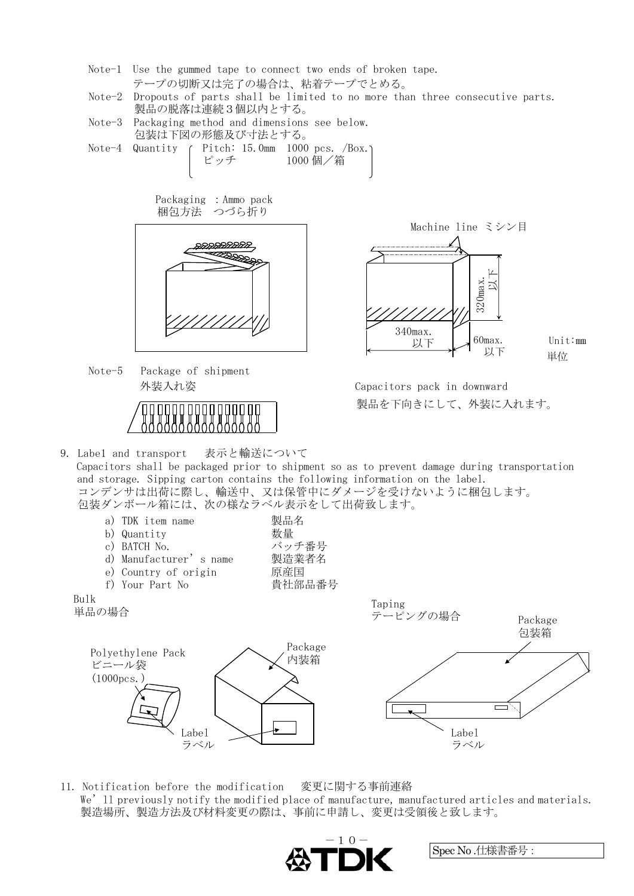- Note-1 Use the gummed tape to connect two ends of broken tape. テープの切断又は完了の場合は、粘着テープでとめる。
- Note-2 Dropouts of parts shall be limited to no more than three consecutive parts. 製品の脱落は連続3個以内とする。
- Note-3 Packaging method and dimensions see below. 包装は下図の形態及び寸法とする。
- Note-4 Quantity ( Pitch: 15.0mm 1000 pcs. /Box.) ピッチ 1000 個/箱

 Packaging :Ammo pack 梱包方法 つづら折り



Note-5 Package of shipment



9. Labe1 and transport 表示と輸送について



Unit:㎜

 外装入れ姿 Capacitors pack in downward 製品を下向きにして、外装に入れます。

Capacitors shall be packaged prior to shipment so as to prevent damage during transportation and storage. Sipping carton contains the following information on the label. コンデンサは出荷に際し、輸送中、又は保管中にダメージを受けないように梱包します。 包装ダンボール箱には、次の様なラベル表示をして出荷致します。



11. Notification before the modification 変更に関する事前連絡 We'll previously notify the modified place of manufacture, manufactured articles and materials. 製造場所、製造方法及び材料変更の際は、事前に申請し、変更は受領後と致します。

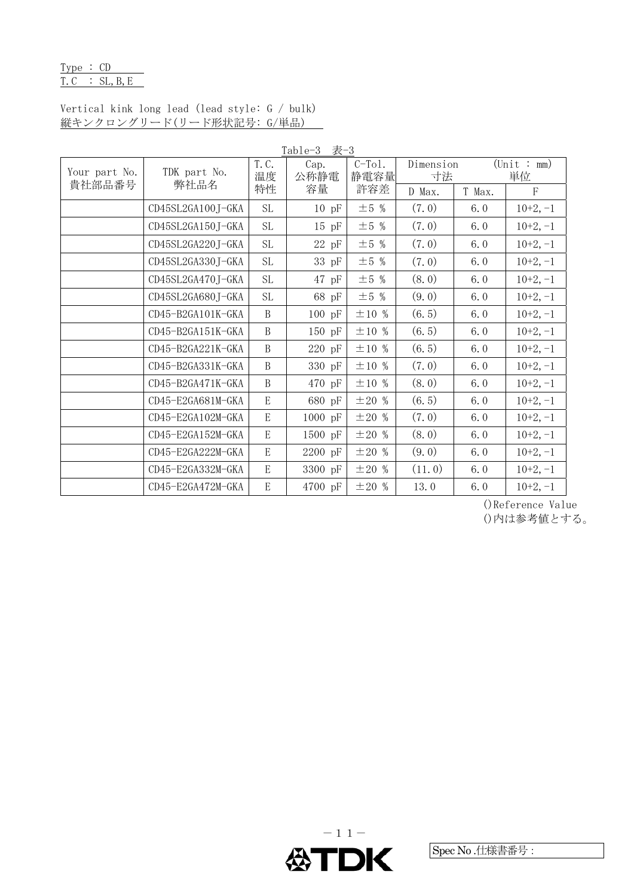# Type : CD  $T.C$  : SL, B, E

# Vertical kink long lead (lead style: G / bulk) 縦キンクロングリード(リード形状記号: G/単品)

| Table-3 表-3             |                      |              |              |                   |                 |        |                                  |
|-------------------------|----------------------|--------------|--------------|-------------------|-----------------|--------|----------------------------------|
| Your part No.<br>貴社部品番号 | TDK part No.<br>弊社品名 | T. C.<br>温度  | Cap.<br>公称静電 | $C-To1$ .<br>静電容量 | Dimension<br>寸法 |        | $(\text{Unit}: \text{mm})$<br>単位 |
|                         |                      | 特性           | 容量           | 許容差               | D Max.          | T Max. | F                                |
|                         | CD45SL2GA100J-GKA    | $\rm SL$     | $10$ pF      | $\pm 5$ %         | (7.0)           | 6.0    | $10+2, -1$                       |
|                         | CD45SL2GA150J-GKA    | <b>SL</b>    | $15$ pF      | $\pm 5$ %         | (7.0)           | 6.0    | $10+2, -1$                       |
|                         | CD45SL2GA220J-GKA    | <b>SL</b>    | 22 pF        | $\pm$ 5 %         | (7.0)           | 6.0    | $10+2, -1$                       |
|                         | CD45SL2GA330J-GKA    | $\rm SL$     | 33 pF        | $\pm 5$ %         | (7.0)           | 6.0    | $10+2, -1$                       |
|                         | CD45SL2GA470J-GKA    | <b>SL</b>    | $47$ pF      | $\pm$ 5 %         | (8.0)           | 6.0    | $10+2, -1$                       |
|                         | CD45SL2GA680J-GKA    | $\rm SL$     | 68 pF        | $\pm$ 5 %         | (9.0)           | 6.0    | $10+2, -1$                       |
|                         | CD45-B2GA101K-GKA    | $\, {\bf B}$ | 100 pF       | $\pm 10$ %        | (6.5)           | 6.0    | $10+2, -1$                       |
|                         | CD45-B2GA151K-GKA    | $\, {\bf B}$ | 150 pF       | $\pm 10$ %        | (6.5)           | 6.0    | $10+2, -1$                       |
|                         | CD45-B2GA221K-GKA    | $\, {\bf B}$ | 220 pF       | $\pm 10$ %        | (6.5)           | 6.0    | $10+2, -1$                       |
|                         | CD45-B2GA331K-GKA    | $\, {\bf B}$ | 330 pF       | $\pm 10$ %        | (7.0)           | 6.0    | $10+2, -1$                       |
|                         | CD45-B2GA471K-GKA    | B            | 470 pF       | $\pm 10$ %        | (8.0)           | 6.0    | $10+2, -1$                       |
|                         | CD45-E2GA681M-GKA    | ${\bf E}$    | 680 pF       | $\pm 20$ %        | (6.5)           | 6.0    | $10+2, -1$                       |
|                         | CD45-E2GA102M-GKA    | E            | 1000 pF      | ±20%              | (7.0)           | 6.0    | $10+2, -1$                       |
|                         | CD45-E2GA152M-GKA    | ${\rm E}$    | 1500 pF      | $\pm 20$ %        | (8.0)           | 6.0    | $10+2, -1$                       |
|                         | CD45-E2GA222M-GKA    | ${\bf E}$    | 2200 pF      | ±20%              | (9.0)           | 6.0    | $10+2, -1$                       |
|                         | CD45-E2GA332M-GKA    | ${\bf E}$    | 3300 pF      | ±20%              | (11.0)          | 6.0    | $10+2, -1$                       |
|                         | CD45-E2GA472M-GKA    | E            | 4700 pF      | ±20%              | 13.0            | 6.0    | $10+2, -1$                       |

()Reference Value

()内は参考値とする。

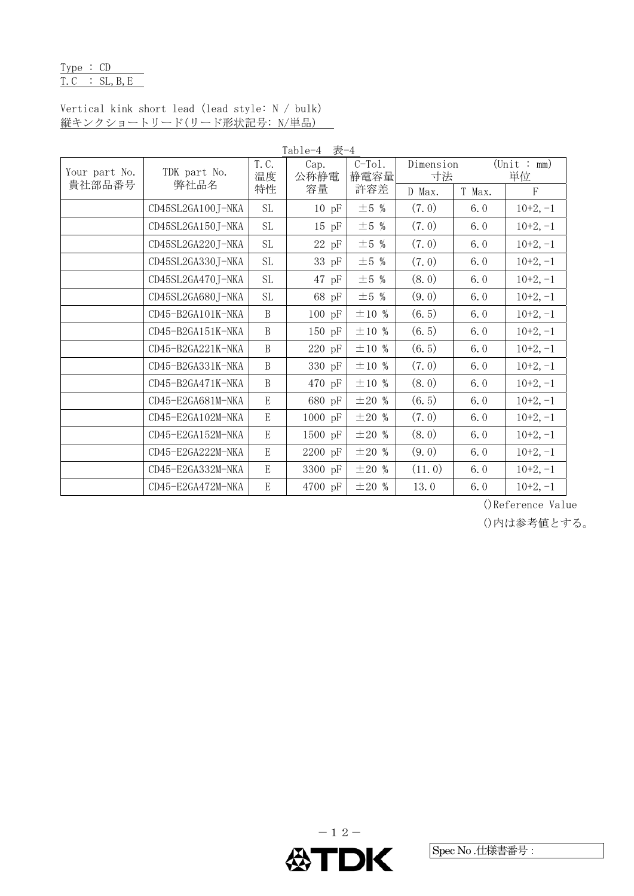# Type : CD  $T.C$  : SL, B, E

# Vertical kink short lead (lead style: N / bulk) 縦キンクショートリード(リード形状記号: N/単品)

| Table-4 表-4             |                      |              |              |                   |                 |        |                                  |
|-------------------------|----------------------|--------------|--------------|-------------------|-----------------|--------|----------------------------------|
| Your part No.<br>貴社部品番号 | TDK part No.<br>弊社品名 | T. C.<br>温度  | Cap.<br>公称静電 | $C-To1$ .<br>静電容量 | Dimension<br>寸法 |        | $(\text{Unit}: \text{mm})$<br>単位 |
|                         |                      | 特性           | 容量           | 許容差               | D Max.          | T Max. | $\mathbf F$                      |
|                         | CD45SL2GA100J-NKA    | <b>SL</b>    | $10$ pF      | $\pm$ 5 %         | (7.0)           | 6.0    | $10+2, -1$                       |
|                         | CD45SL2GA150J-NKA    | <b>SL</b>    | $15$ pF      | $\pm$ 5 %         | (7.0)           | 6.0    | $10+2, -1$                       |
|                         | CD45SL2GA220J-NKA    | <b>SL</b>    | 22 pF        | $\pm$ 5 %         | (7.0)           | 6.0    | $10+2, -1$                       |
|                         | CD45SL2GA330J-NKA    | $\rm SL$     | 33 pF        | $\pm$ 5 %         | (7.0)           | 6.0    | $10+2, -1$                       |
|                         | CD45SL2GA470J-NKA    | <b>SL</b>    | $47$ pF      | $\pm$ 5 %         | (8.0)           | 6.0    | $10+2, -1$                       |
|                         | CD45SL2GA680J-NKA    | <b>SL</b>    | 68 pF        | $\pm$ 5 %         | (9.0)           | 6.0    | $10+2, -1$                       |
|                         | CD45-B2GA101K-NKA    | $\mathbf B$  | $100$ pF     | $\pm 10$ %        | (6.5)           | 6.0    | $10+2, -1$                       |
|                         | CD45-B2GA151K-NKA    | B            | 150 pF       | ±10%              | (6.5)           | 6.0    | $10+2, -1$                       |
|                         | CD45-B2GA221K-NKA    | $\, {\bf B}$ | 220 pF       | ±10%              | (6.5)           | 6.0    | $10+2, -1$                       |
|                         | CD45-B2GA331K-NKA    | $\mathbf B$  | 330 pF       | ±10%              | (7.0)           | 6.0    | $10+2, -1$                       |
|                         | CD45-B2GA471K-NKA    | B            | 470 pF       | $\pm 10$ %        | (8.0)           | 6.0    | $10+2, -1$                       |
|                         | CD45-E2GA681M-NKA    | $\mathbf E$  | 680 pF       | ±20%              | (6.5)           | 6.0    | $10+2, -1$                       |
|                         | CD45-E2GA102M-NKA    | E            | 1000 pF      | $\pm 20$ %        | (7.0)           | 6.0    | $10+2, -1$                       |
|                         | CD45-E2GA152M-NKA    | E            | 1500 pF      | ±20%              | (8.0)           | 6.0    | $10+2, -1$                       |
|                         | CD45-E2GA222M-NKA    | ${\bf E}$    | 2200 pF      | ±20%              | (9.0)           | 6.0    | $10+2, -1$                       |
|                         | CD45-E2GA332M-NKA    | ${\bf E}$    | 3300 pF      | $\pm 20$ %        | (11.0)          | 6.0    | $10+2, -1$                       |
|                         | CD45-E2GA472M-NKA    | E            | 4700 pF      | ±20%              | 13.0            | 6.0    | $10+2, -1$                       |

()Reference Value

()内は参考値とする。

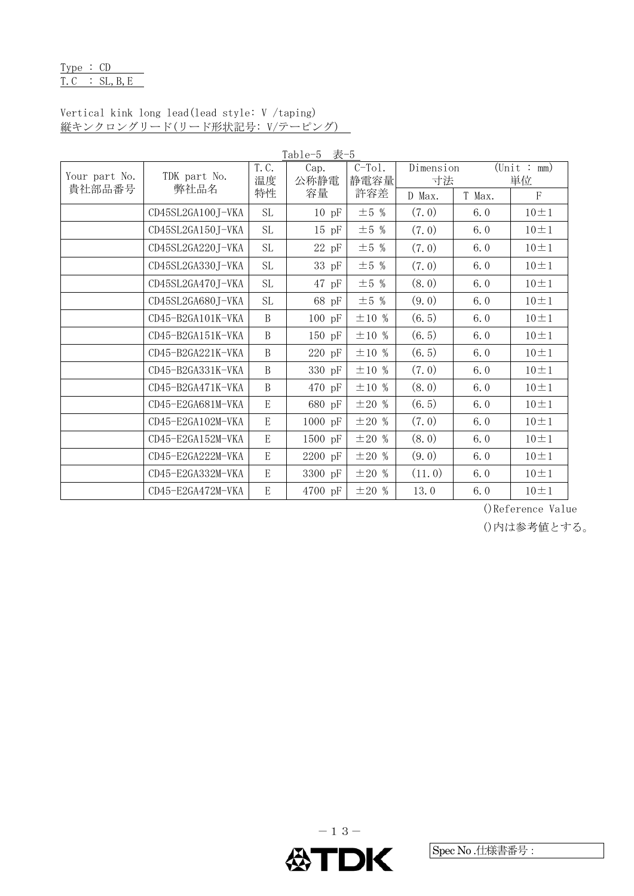# Type : CD  $T.C$  : SL, B, E

# Vertical kink long lead(lead style: V /taping) 縦キンクロングリード(リード形状記号: V/テーピング)

| Table-5<br>表-5          |                      |                           |              |                  |                 |        |                                  |
|-------------------------|----------------------|---------------------------|--------------|------------------|-----------------|--------|----------------------------------|
| Your part No.<br>貴社部品番号 | TDK part No.<br>弊社品名 | $\overline{T}$ . C.<br>温度 | Cap.<br>公称静電 | $C-To1.$<br>静電容量 | Dimension<br>寸法 |        | $(\text{Unit}: \text{mm})$<br>単位 |
|                         |                      | 特性                        | 容量           | 許容差              | D Max.          | T Max. | $\rm F$                          |
|                         | CD45SL2GA100J-VKA    | <b>SL</b>                 | $10$ pF      | $\pm 5$ %        | (7.0)           | 6.0    | $10 \pm 1$                       |
|                         | CD45SL2GA150J-VKA    | <b>SL</b>                 | $15$ pF      | $\pm$ 5 %        | (7.0)           | 6.0    | $10 \pm 1$                       |
|                         | CD45SL2GA220J-VKA    | <b>SL</b>                 | $22\,$ pF    | $\pm$ 5 %        | (7.0)           | 6.0    | $10 \pm 1$                       |
|                         | CD45SL2GA330J-VKA    | SL                        | 33 pF        | $\pm$ 5 %        | (7.0)           | 6.0    | $10 \pm 1$                       |
|                         | CD45SL2GA470J-VKA    | <b>SL</b>                 | $47$ pF      | $\pm$ 5 %        | (8.0)           | 6.0    | $10 \pm 1$                       |
|                         | CD45SL2GA680J-VKA    | <b>SL</b>                 | 68 pF        | $\pm$ 5 %        | (9.0)           | 6.0    | $10 \pm 1$                       |
|                         | CD45-B2GA101K-VKA    | B                         | $100$ pF     | $\pm 10$ %       | (6.5)           | 6.0    | $10 \pm 1$                       |
|                         | CD45-B2GA151K-VKA    | B                         | 150 pF       | $\pm 10$ %       | (6.5)           | 6.0    | $10 \pm 1$                       |
|                         | CD45-B2GA221K-VKA    | B                         | 220 pF       | $\pm 10$ %       | (6.5)           | 6.0    | $10 \pm 1$                       |
|                         | CD45-B2GA331K-VKA    | <sub>B</sub>              | 330 pF       | $\pm 10$ %       | (7.0)           | 6.0    | $10 \pm 1$                       |
|                         | CD45-B2GA471K-VKA    | B                         | 470 pF       | $\pm 10$ %       | (8.0)           | 6.0    | $10 \pm 1$                       |
|                         | CD45-E2GA681M-VKA    | E                         | 680 pF       | $\pm 20$ %       | (6.5)           | 6.0    | $10 \pm 1$                       |
|                         | CD45-E2GA102M-VKA    | $\mathbf E$               | 1000 pF      | $\pm 20$ %       | (7.0)           | 6.0    | $10 \pm 1$                       |
|                         | CD45-E2GA152M-VKA    | $\boldsymbol{\mathrm{E}}$ | 1500 pF      | $\pm 20$ %       | (8.0)           | 6.0    | $10 \pm 1$                       |
|                         | CD45-E2GA222M-VKA    | E                         | 2200 pF      | $\pm 20$ %       | (9.0)           | 6.0    | $10 \pm 1$                       |
|                         | CD45-E2GA332M-VKA    | $\mathbf E$               | 3300 pF      | $\pm 20$ %       | (11.0)          | 6.0    | $10 \pm 1$                       |
|                         | CD45-E2GA472M-VKA    | E                         | 4700 pF      | ±20%             | 13.0            | 6.0    | $10 \pm 1$                       |

()Reference Value

()内は参考値とする。